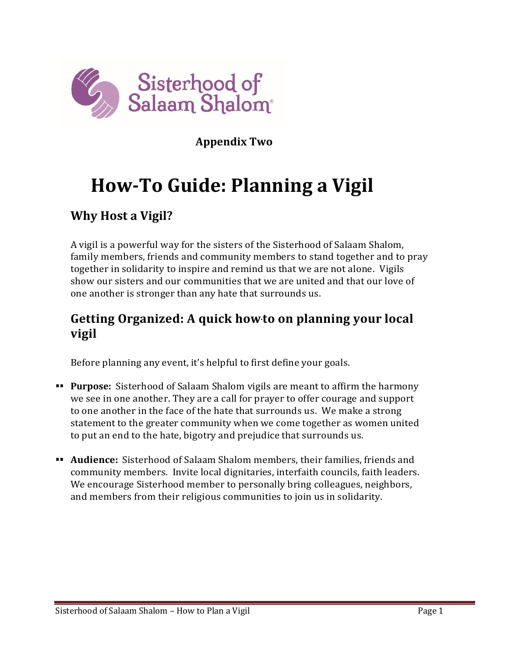

**Appendix Two** 

# **How-To Guide: Planning a Vigil**

## **Why Host a Vigil?**

A vigil is a powerful way for the sisters of the Sisterhood of Salaam Shalom, family members, friends and community members to stand together and to pray together in solidarity to inspire and remind us that we are not alone. Vigils show our sisters and our communities that we are united and that our love of one another is stronger than any hate that surrounds us.

## **Getting Organized: A quick how** to on planning your local **vigil**

Before planning any event, it's helpful to first define your goals.

- **EXECT:** Purpose: Sisterhood of Salaam Shalom vigils are meant to affirm the harmony we see in one another. They are a call for prayer to offer courage and support to one another in the face of the hate that surrounds us. We make a strong statement to the greater community when we come together as women united to put an end to the hate, bigotry and prejudice that surrounds us.
- ▪▪ **Audience:** Sisterhood of Salaam Shalom members, their families, friends and community members. Invite local dignitaries, interfaith councils, faith leaders. We encourage Sisterhood member to personally bring colleagues, neighbors, and members from their religious communities to join us in solidarity.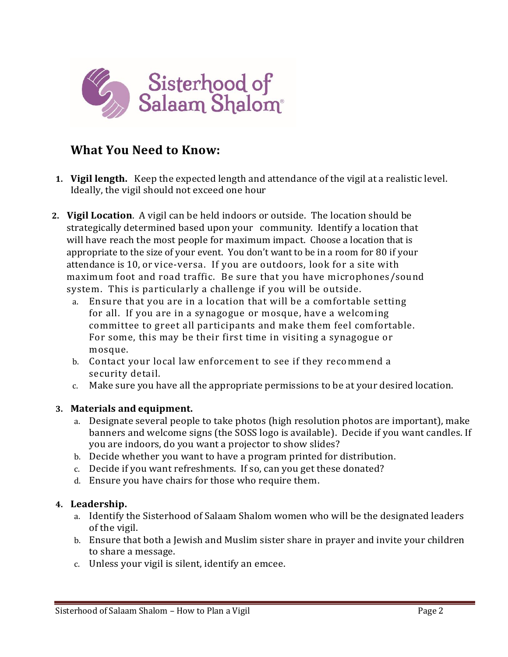

### **What You Need to Know:**

- **1. Vigil length.** Keep the expected length and attendance of the vigil at a realistic level. Ideally, the vigil should not exceed one hour
- **2. Vigil Location**. A vigil can be held indoors or outside. The location should be strategically determined based upon your community. Identify a location that will have reach the most people for maximum impact. Choose a location that is appropriate to the size of your event. You don't want to be in a room for 80 if your attendance is 10, or vice-versa. If you are outdoors, look for a site with maximum foot and road traffic. Be sure that you have microphones/sound system. This is particularly a challenge if you will be outside.
	- a. Ensure that you are in a location that will be a comfortable setting for all. If you are in a synagogue or mosque, have a welcoming committee to greet all participants and make them feel comfortable. For some, this may be their first time in visiting a synagogue or mosque.
	- b. Contact your local law enforcement to see if they reco mmend a security detail.
	- c. Make sure you have all the appropriate permissions to be at your desired location.

#### **3. Materials and equipment.**

- a. Designate several people to take photos (high resolution photos are important), make banners and welcome signs (the SOSS logo is available). Decide if you want candles. If you are indoors, do you want a projector to show slides?
- b. Decide whether you want to have a program printed for distribution.
- c. Decide if you want refreshments. If so, can you get these donated?
- d. Ensure you have chairs for those who require them.

#### **4. Leadership.**

- a. Identify the Sisterhood of Salaam Shalom women who will be the designated leaders of the vigil.
- b. Ensure that both a Jewish and Muslim sister share in prayer and invite your children to share a message.
- c. Unless your vigil is silent, identify an emcee.